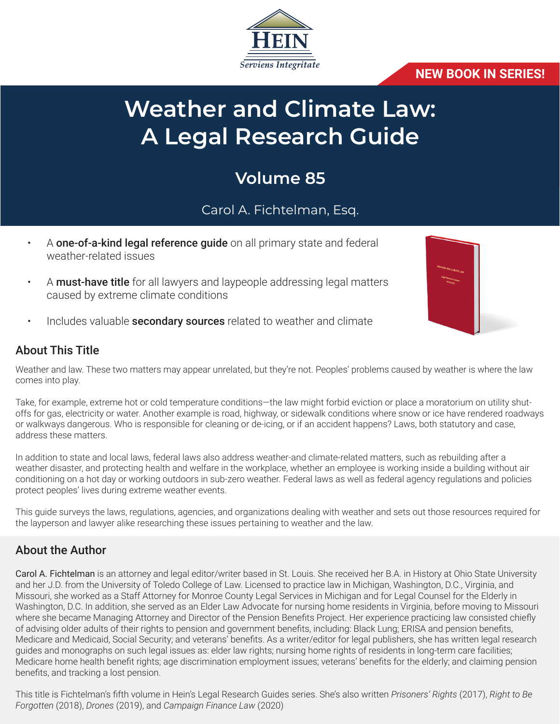

#### **NEW BOOK IN SERIES!**

# **Weather and Climate Law: A Legal Research Guide**

## **Volume 85**

## Carol A. Fichtelman, Esq.

- A **one-of-a-kind legal reference guide** on all primary state and federal weather-related issues
- A **must-have title** for all lawyers and laypeople addressing legal matters caused by extreme climate conditions
- Includes valuable **secondary sources** related to weather and climate

#### About This Title

Weather and law. These two matters may appear unrelated, but they're not. Peoples' problems caused by weather is where the law comes into play.

Take, for example, extreme hot or cold temperature conditions—the law might forbid eviction or place a moratorium on utility shutoffs for gas, electricity or water. Another example is road, highway, or sidewalk conditions where snow or ice have rendered roadways or walkways dangerous. Who is responsible for cleaning or de-icing, or if an accident happens? Laws, both statutory and case, address these matters.

In addition to state and local laws, federal laws also address weather-and climate-related matters, such as rebuilding after a weather disaster, and protecting health and welfare in the workplace, whether an employee is working inside a building without air conditioning on a hot day or working outdoors in sub-zero weather. Federal laws as well as federal agency regulations and policies protect peoples' lives during extreme weather events.

This guide surveys the laws, regulations, agencies, and organizations dealing with weather and sets out those resources required for the layperson and lawyer alike researching these issues pertaining to weather and the law.

#### About the Author

Carol A. Fichtelman is an attorney and legal editor/writer based in St. Louis. She received her B.A. in History at Ohio State University and her J.D. from the University of Toledo College of Law. Licensed to practice law in Michigan, Washington, D.C., Virginia, and Missouri, she worked as a Staff Attorney for Monroe County Legal Services in Michigan and for Legal Counsel for the Elderly in Washington, D.C. In addition, she served as an Elder Law Advocate for nursing home residents in Virginia, before moving to Missouri where she became Managing Attorney and Director of the Pension Benefits Project. Her experience practicing law consisted chiefly of advising older adults of their rights to pension and government benefits, including: Black Lung; ERISA and pension benefits, Medicare and Medicaid, Social Security; and veterans' benefits. As a writer/editor for legal publishers, she has written legal research guides and monographs on such legal issues as: elder law rights; nursing home rights of residents in long-term care facilities; Medicare home health benefit rights; age discrimination employment issues; veterans' benefits for the elderly; and claiming pension benefits, and tracking a lost pension.

This title is Fichtelman's fifth volume in Hein's Legal Research Guides series. She's also written *Prisoners' Rights* (2017), *Right to Be Forgotten* (2018), *Drones* (2019), and *Campaign Finance Law* (2020)